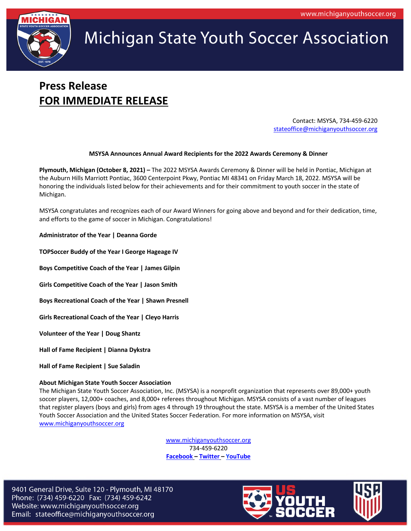

# **Michigan State Youth Soccer Association**

### **Press Release FOR IMMEDIATE RELEASE**

Contact: MSYSA, 734-459-6220 stateoffice@michiganyouthsoccer.org

#### **MSYSA Announces Annual Award Recipients for the 2022 Awards Ceremony & Dinner**

**Plymouth, Michigan (October 8, 2021) –** The 2022 MSYSA Awards Ceremony & Dinner will be held in Pontiac, Michigan at the Auburn Hills Marriott Pontiac, 3600 Centerpoint Pkwy, Pontiac MI 48341 on Friday March 18, 2022. MSYSA will be honoring the individuals listed below for their achievements and for their commitment to youth soccer in the state of Michigan.

MSYSA congratulates and recognizes each of our Award Winners for going above and beyond and for their dedication, time, and efforts to the game of soccer in Michigan. Congratulations!

**Administrator of the Year | Deanna Gorde**

**TOPSoccer Buddy of the Year I George Hageage IV**

**Boys Competitive Coach of the Year | James Gilpin**

**Girls Competitive Coach of the Year | Jason Smith**

**Boys Recreational Coach of the Year | Shawn Presnell**

**Girls Recreational Coach of the Year | Cleyo Harris**

**Volunteer of the Year | Doug Shantz**

**Hall of Fame Recipient | Dianna Dykstra**

**Hall of Fame Recipient | Sue Saladin**

#### **About Michigan State Youth Soccer Association**

The Michigan State Youth Soccer Association, Inc. (MSYSA) is a nonprofit organization that represents over 89,000+ youth soccer players, 12,000+ coaches, and 8,000+ referees throughout Michigan. MSYSA consists of a vast number of leagues that register players (boys and girls) from ages 4 through 19 throughout the state. MSYSA is a member of the United States Youth Soccer Association and the United States Soccer Federation. For more information on MSYSA, visit www.michiganyouthsoccer.org

> www.michiganyouthsoccer.org 734-459-6220 **Facebook – Twitter – YouTube**

9401 General Drive, Suite 120 - Plymouth, MI 48170 Phone: (734) 459-6220 Fax: (734) 459-6242 Website: www.michiganyouthsoccer.org Email: stateoffice@michiganyouthsoccer.org